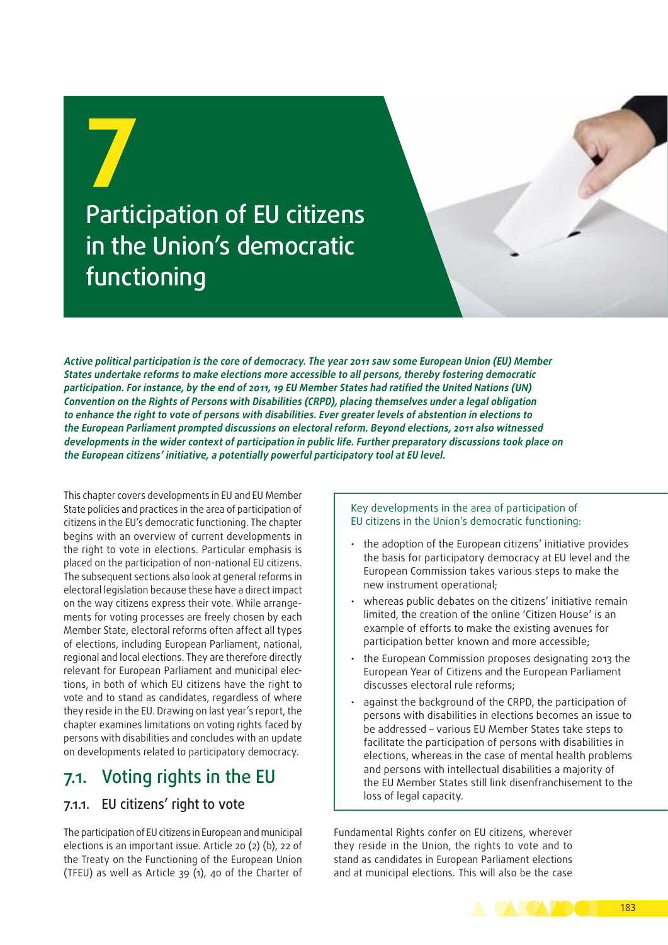

**Active political participation is the core of democracy. The year 2011 saw some European Union (EU) Member States undertake reforms to make elections more accessible to all persons, thereby fostering democratic participation. For instance, by the end of 2011, 19 EU Member States had ratified the United Nations (UN) Convention on the Rights of Persons with Disabilities (CRPD), placing themselves under a legal obligation to enhance the right to vote of persons with disabilities. Ever greater levels of abstention in elections to the European Parliament prompted discussions on electoral reform. Beyond elections, 2011 also witnessed developments in the wider context of participation in public life. Further preparatory discussions took place on the European citizens' initiative, a potentially powerful participatory tool at EU level.**

This chapter covers developments in EU and EU Member State policies and practices in the area of participation of citizens in the EU's democratic functioning. The chapter begins with an overview of current developments in the right to vote in elections. Particular emphasis is placed on the participation of non‑national EU citizens. The subsequent sections also look at general reforms in electoral legislation because these have a direct impact on the way citizens express their vote. While arrangements for voting processes are freely chosen by each Member State, electoral reforms often affect all types of elections, including European Parliament, national, regional and local elections. They are therefore directly relevant for European Parliament and municipal elections, in both of which EU citizens have the right to vote and to stand as candidates, regardless of where they reside in the EU. Drawing on last year's report, the chapter examines limitations on voting rights faced by persons with disabilities and concludes with an update on developments related to participatory democracy.

### 7.1. Voting rights in the EU

### 7.1.1. EU citizens' right to vote

The participation of EU citizens in European and municipal elections is an important issue. Article 20 (2) (b), 22 of the Treaty on the Functioning of the European Union (TFEU) as well as Article 39 (1), 40 of the Charter of

Key developments in the area of participation of EU citizens in the Union's democratic functioning:

- the adoption of the European citizens' initiative provides the basis for participatory democracy at EU level and the European Commission takes various steps to make the new instrument operational;
- whereas public debates on the citizens' initiative remain limited, the creation of the online 'Citizen House' is an example of efforts to make the existing avenues for participation better known and more accessible;
- the European Commission proposes designating 2013 the European Year of Citizens and the European Parliament discusses electoral rule reforms;
- against the background of the CRPD, the participation of persons with disabilities in elections becomes an issue to be addressed – various EU Member States take steps to facilitate the participation of persons with disabilities in elections, whereas in the case of mental health problems and persons with intellectual disabilities a majority of the EU Member States still link disenfranchisement to the loss of legal capacity.

Fundamental Rights confer on EU citizens, wherever they reside in the Union, the rights to vote and to stand as candidates in European Parliament elections and at municipal elections. This will also be the case

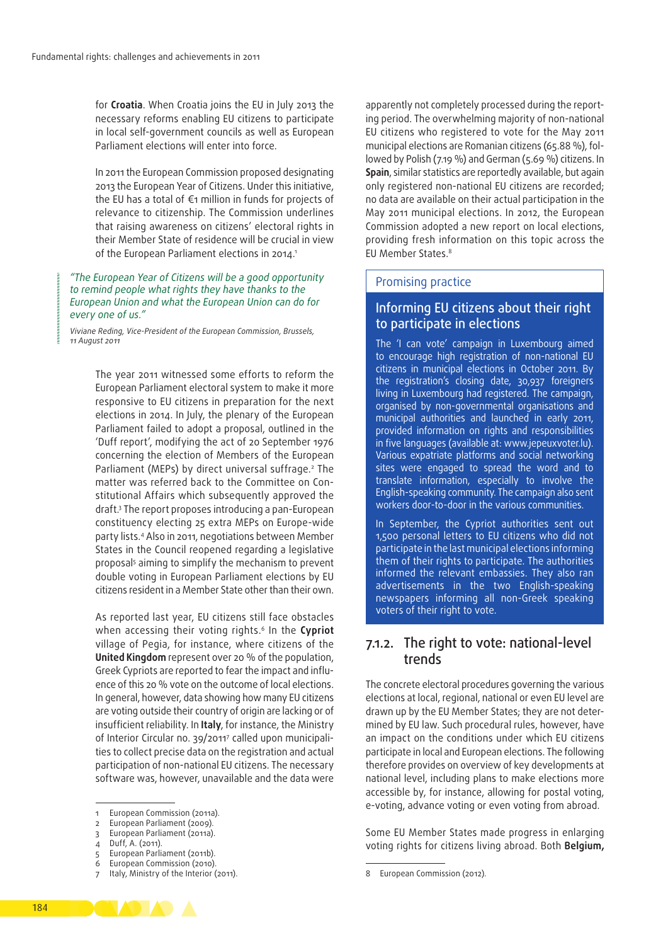for **Croatia**. When Croatia joins the EU in July 2013 the necessary reforms enabling EU citizens to participate in local self‑government councils as well as European Parliament elections will enter into force.

In 2011 the European Commission proposed designating 2013 the European Year of Citizens. Under this initiative, the EU has a total of €1 million in funds for projects of relevance to citizenship. The Commission underlines that raising awareness on citizens' electoral rights in their Member State of residence will be crucial in view of the European Parliament elections in 2014.<sup>1</sup>

#### *"The European Year of Citizens will be a good opportunity to remind people what rights they have thanks to the European Union and what the European Union can do for every one of us."*

*Viviane Reding, Vice‑President of the European Commission, Brussels, 11 August 2011*

> The year 2011 witnessed some efforts to reform the European Parliament electoral system to make it more responsive to EU citizens in preparation for the next elections in 2014. In July, the plenary of the European Parliament failed to adopt a proposal, outlined in the 'Duff report', modifying the act of 20 September 1976 concerning the election of Members of the European Parliament (MEPs) by direct universal suffrage.2 The matter was referred back to the Committee on Constitutional Affairs which subsequently approved the draft.3 The report proposes introducing a pan‑European constituency electing 25 extra MEPs on Europe-wide party lists.4 Also in 2011, negotiations between Member States in the Council reopened regarding a legislative proposal<sup>s</sup> aiming to simplify the mechanism to prevent double voting in European Parliament elections by EU citizens resident in a Member State other than their own.

> As reported last year, EU citizens still face obstacles when accessing their voting rights.6 In the **Cypriot** village of Pegia, for instance, where citizens of the **United Kingdom** represent over 20 % of the population, Greek Cypriots are reported to fear the impact and influence of this 20 % vote on the outcome of local elections. In general, however, data showing how many EU citizens are voting outside their country of origin are lacking or of insufficient reliability. In **Italy**, for instance, the Ministry of Interior Circular no. 39/20117 called upon municipali‑ ties to collect precise data on the registration and actual participation of non‑national EU citizens. The necessary software was, however, unavailable and the data were

apparently not completely processed during the reporting period. The overwhelming majority of non‑national EU citizens who registered to vote for the May 2011 municipal elections are Romanian citizens (65.88 %), fol‑ lowed by Polish (7.19 %) and German (5.69 %) citizens. In **Spain**, similar statistics are reportedly available, but again only registered non‑national EU citizens are recorded; no data are available on their actual participation in the May 2011 municipal elections. In 2012, the European Commission adopted a new report on local elections, providing fresh information on this topic across the EU Member States.8

#### Promising practice

### Informing EU citizens about their right to participate in elections

The 'I can vote' campaign in Luxembourg aimed to encourage high registration of non‑national EU citizens in municipal elections in October 2011. By the registration's closing date, 30,937 foreigners living in Luxembourg had registered. The campaign, organised by non‑governmental organisations and municipal authorities and launched in early 2011, provided information on rights and responsibilities in five languages (available at: [www.jepeuxvoter.lu\)](http://jepeuxvoter.lu). Various expatriate platforms and social networking sites were engaged to spread the word and to translate information, especially to involve the English‑speaking community. The campaign also sent workers door-to-door in the various communities.

In September, the Cypriot authorities sent out 1,500 personal letters to EU citizens who did not participate in the last municipal elections informing them of their rights to participate. The authorities informed the relevant embassies. They also ran advertisements in the two English-speaking newspapers informing all non‑Greek speaking voters of their right to vote.

### 7.1.2. The right to vote: national‑level trends

The concrete electoral procedures governing the various elections at local, regional, national or even EU level are drawn up by the EU Member States; they are not determined by EU law. Such procedural rules, however, have an impact on the conditions under which EU citizens participate in local and European elections. The following therefore provides on overview of key developments at national level, including plans to make elections more accessible by, for instance, allowing for postal voting, e‑voting, advance voting or even voting from abroad.

Some EU Member States made progress in enlarging voting rights for citizens living abroad. Both **Belgium,**



<sup>1</sup> European Commission (2011a).

<sup>2</sup> European Parliament (2009).

European Parliament (2011a).

<sup>4</sup> Duff, A. (2011).

s European Parliament (2011b).<br>6 European Commission (2010).

<sup>6</sup> European Commission (2010).

Italy, Ministry of the Interior (2011).

<sup>8</sup> European Commission (2012).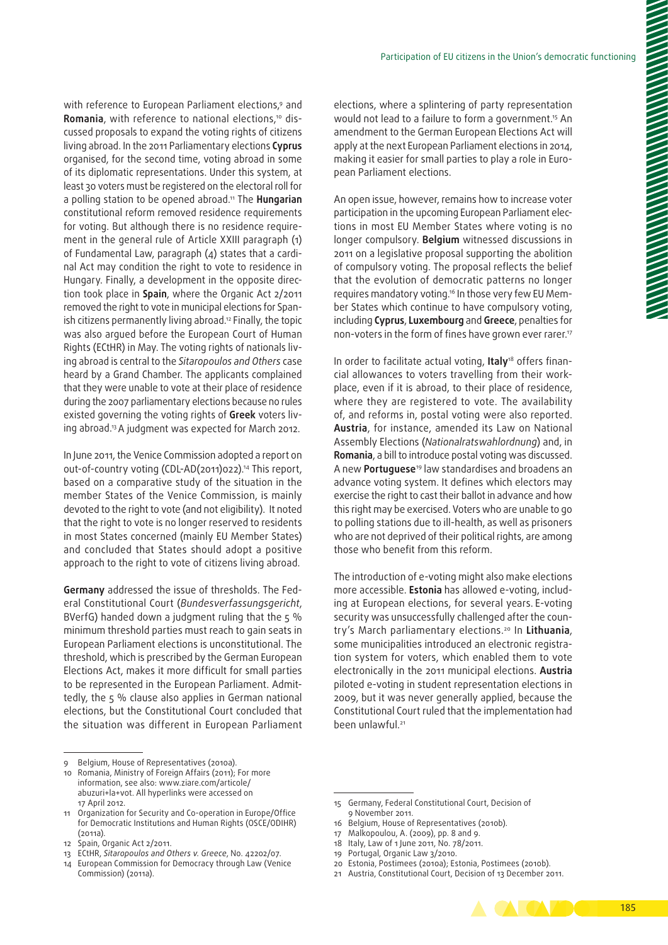with reference to European Parliament elections,<sup>9</sup> and Romania, with reference to national elections,<sup>10</sup> discussed proposals to expand the voting rights of citizens living abroad. In the 2011 Parliamentary elections **Cyprus** organised, for the second time, voting abroad in some of its diplomatic representations. Under this system, at least 30 voters must be registered on the electoral roll for a polling station to be opened abroad.11 The **Hungarian** constitutional reform removed residence requirements for voting. But although there is no residence requirement in the general rule of Article XXIII paragraph (1) of Fundamental Law, paragraph  $(4)$  states that a cardinal Act may condition the right to vote to residence in Hungary. Finally, a development in the opposite direction took place in **Spain**, where the Organic Act 2/2011 removed the right to vote in municipal elections for Spanish citizens permanently living abroad.12 Finally, the topic was also argued before the European Court of Human Rights (ECtHR) in May. The voting rights of nationals living abroad is central to the *Sitaropoulos and Others* case heard by a Grand Chamber. The applicants complained that they were unable to vote at their place of residence during the 2007 parliamentary elections because no rules existed governing the voting rights of **Greek** voters liv‑ ing abroad.13 A judgment was expected for March 2012.

In June 2011, the Venice Commission adopted a report on out-of-country voting (CDL-AD(2011)022).14 This report, based on a comparative study of the situation in the member States of the Venice Commission, is mainly devoted to the right to vote (and not eligibility). It noted that the right to vote is no longer reserved to residents in most States concerned (mainly EU Member States) and concluded that States should adopt a positive approach to the right to vote of citizens living abroad.

**Germany** addressed the issue of thresholds. The Fed‑ eral Constitutional Court (*Bundesverfassungsgericht*, BVerfG) handed down a judgment ruling that the 5 % minimum threshold parties must reach to gain seats in European Parliament elections is unconstitutional. The threshold, which is prescribed by the German European Elections Act, makes it more difficult for small parties to be represented in the European Parliament. Admittedly, the 5 % clause also applies in German national elections, but the Constitutional Court concluded that the situation was different in European Parliament

elections, where a splintering of party representation would not lead to a failure to form a government.<sup>15</sup> An amendment to the German European Elections Act will apply at the next European Parliament elections in 2014, making it easier for small parties to play a role in European Parliament elections.

An open issue, however, remains how to increase voter participation in the upcoming European Parliament elections in most EU Member States where voting is no longer compulsory. **Belgium** witnessed discussions in 2011 on a legislative proposal supporting the abolition of compulsory voting. The proposal reflects the belief that the evolution of democratic patterns no longer requires mandatory voting.<sup>16</sup> In those very few EU Member States which continue to have compulsory voting, including **Cyprus**, **Luxembourg** and **Greece**, penalties for non-voters in the form of fines have grown ever rarer.<sup>17</sup>

In order to facilitate actual voting, Italy<sup>18</sup> offers financial allowances to voters travelling from their workplace, even if it is abroad, to their place of residence, where they are registered to vote. The availability of, and reforms in, postal voting were also reported. **Austria**, for instance, amended its Law on National Assembly Elections (*Nationalratswahlordnung*) and, in **Romania**, a bill to introduce postal voting was discussed. A new **Portuguese**19 law standardises and broadens an advance voting system. It defines which electors may exercise the right to cast their ballot in advance and how this right may be exercised. Voters who are unable to go to polling stations due to ill-health, as well as prisoners who are not deprived of their political rights, are among those who benefit from this reform.

The introduction of e-voting might also make elections more accessible. **Estonia** has allowed e‑voting, includ‑ ing at European elections, for several years. E‑voting security was unsuccessfully challenged after the country's March parliamentary elections.20 In **Lithuania**, some municipalities introduced an electronic registration system for voters, which enabled them to vote electronically in the 2011 municipal elections. **Austria** piloted e‑voting in student representation elections in 2009, but it was never generally applied, because the Constitutional Court ruled that the implementation had been unlawful.<sup>21</sup>

- 18 Italy, Law of 1 June 2011, No. 78/2011.
- 19 Portugal, Organic Law 3/2010.

<sup>21</sup> Austria, Constitutional Court, Decision of 13 December 2011.



<sup>9</sup> Belgium, House of Representatives (2010a).

<sup>10</sup> Romania, Ministry of Foreign Affairs (2011); For more information, see also: [www.ziare.com/articole/](http://www.ziare.com/articole/abuzuri+la+vot) [abuzuri+la+vot.](http://www.ziare.com/articole/abuzuri+la+vot) All hyperlinks were accessed on 17 April 2012.

<sup>11</sup> Organization for Security and Co-operation in Europe/Office for Democratic Institutions and Human Rights (OSCE/ODIHR) (2011a).

<sup>12</sup> Spain, Organic Act 2/2011.

<sup>13</sup> ECtHR, *Sitaropoulos and Others v. Greece*, No. 42202/07.

<sup>14</sup> European Commission for Democracy through Law (Venice Commission) (2011a).

<sup>15</sup> Germany, Federal Constitutional Court, Decision of 9 November 2011.

<sup>16</sup> Belgium, House of Representatives (2010b).

<sup>17</sup> Malkopoulou, A. (2009), pp. 8 and 9.

<sup>20</sup> Estonia, Postimees (2010a); Estonia, Postimees (2010b).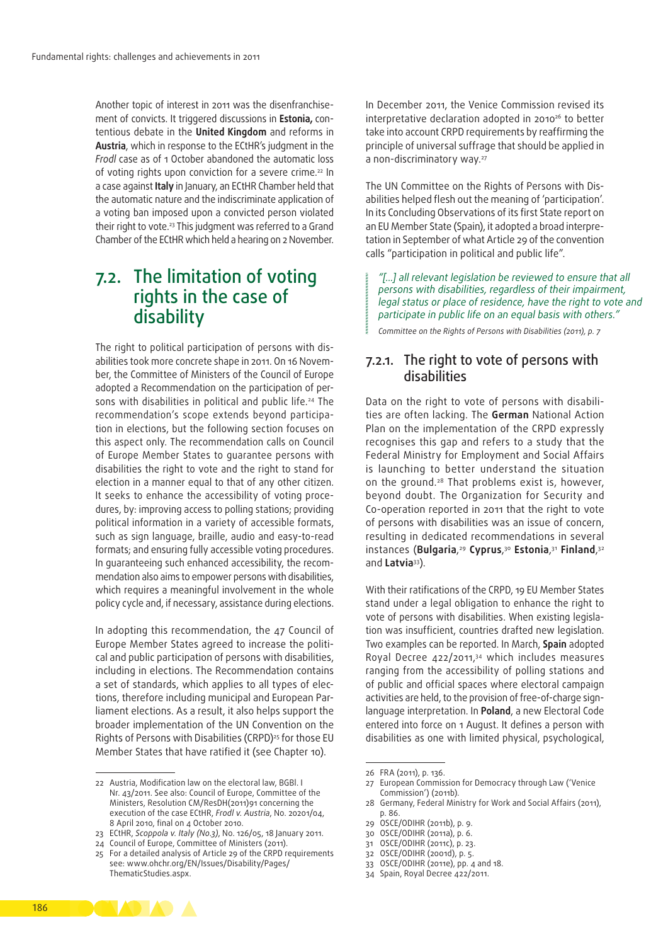Another topic of interest in 2011 was the disenfranchisement of convicts. It triggered discussions in **Estonia,** con‑ tentious debate in the **United Kingdom** and reforms in **Austria**, which in response to the ECtHR's judgment in the *Frodl* case as of 1 October abandoned the automatic loss of voting rights upon conviction for a severe crime.<sup>22</sup> In a case against **Italy** in January, an ECtHR Chamber held that the automatic nature and the indiscriminate application of a voting ban imposed upon a convicted person violated their right to vote.<sup>23</sup> This judgment was referred to a Grand Chamber of the ECtHR which held a hearing on 2 November.

### 7.2. The limitation of voting rights in the case of disability

The right to political participation of persons with disabilities took more concrete shape in 2011. On 16 November, the Committee of Ministers of the Council of Europe adopted a Recommendation on the participation of persons with disabilities in political and public life.<sup>24</sup> The recommendation's scope extends beyond participation in elections, but the following section focuses on this aspect only. The recommendation calls on Council of Europe Member States to guarantee persons with disabilities the right to vote and the right to stand for election in a manner equal to that of any other citizen. It seeks to enhance the accessibility of voting procedures, by: improving access to polling stations; providing political information in a variety of accessible formats, such as sign language, braille, audio and easy-to-read formats; and ensuring fully accessible voting procedures. In quaranteeing such enhanced accessibility, the recommendation also aims to empower persons with disabilities, which requires a meaningful involvement in the whole policy cycle and, if necessary, assistance during elections.

In adopting this recommendation, the 47 Council of Europe Member States agreed to increase the political and public participation of persons with disabilities, including in elections. The Recommendation contains a set of standards, which applies to all types of elections, therefore including municipal and European Parliament elections. As a result, it also helps support the broader implementation of the UN Convention on the Rights of Persons with Disabilities (CRPD)<sup>25</sup> for those EU Member States that have ratified it (see Chapter 10).

In December 2011, the Venice Commission revised its interpretative declaration adopted in 2010<sup>26</sup> to better take into account CRPD requirements by reaffirming the principle of universal suffrage that should be applied in a non-discriminatory way.<sup>27</sup>

The UN Committee on the Rights of Persons with Disabilities helped flesh out the meaning of 'participation'. In its Concluding Observations of its first State report on an EU Member State (Spain), it adopted a broad interpretation in September of what Article 29 of the convention calls "participation in political and public life".

*"[...] all relevant legislation be reviewed to ensure that all persons with disabilities, regardless of their impairment, legal status or place of residence, have the right to vote and participate in public life on an equal basis with others."*

*Committee on the Rights of Persons with Disabilities (2011), p. 7*

### 7.2.1. The right to vote of persons with disabilities

Data on the right to vote of persons with disabilities are often lacking. The **German** National Action Plan on the implementation of the CRPD expressly recognises this gap and refers to a study that the Federal Ministry for Employment and Social Affairs is launching to better understand the situation on the ground.28 That problems exist is, however, beyond doubt. The Organization for Security and Co‑operation reported in 2011 that the right to vote of persons with disabilities was an issue of concern, resulting in dedicated recommendations in several instances (**Bulgaria**, <sup>29</sup> **Cyprus**, <sup>30</sup> **Estonia**, <sup>31</sup> **Finland**, 32 and **Latvia**33).

With their ratifications of the CRPD, 19 EU Member States stand under a legal obligation to enhance the right to vote of persons with disabilities. When existing legislation was insufficient, countries drafted new legislation. Two examples can be reported. In March, **Spain** adopted Royal Decree 422/2011,34 which includes measures ranging from the accessibility of polling stations and of public and official spaces where electoral campaign activities are held, to the provision of free-of-charge signlanguage interpretation. In **Poland**, a new Electoral Code entered into force on 1 August. It defines a person with disabilities as one with limited physical, psychological,

- 30 OSCE/ODIHR (2011a), p. 6.
- 31 OSCE/ODIHR (2011c), p. 23.
- 32 OSCE/ODIHR (2001d), p. 5.
- 33 OSCE/ODIHR (2011e), pp. 4 and 18.
- 34 Spain, Royal Decree 422/2011.



<sup>22</sup> Austria, Modification law on the electoral law, BGBl. I Nr. 43/2011. See also: Council of Europe, Committee of the Ministers, Resolution CM/ResDH(2011)91 concerning the execution of the case ECtHR, *Frodl v. Austria*, No. 20201/04, 8 April 2010, final on 4 October 2010.

<sup>23</sup> ECtHR, *Scoppola v. Italy (No.3)*, No. 126/05, 18 January 2011.

<sup>24</sup> Council of Europe, Committee of Ministers (2011).

<sup>25</sup> For a detailed analysis of Article 29 of the CRPD requirements see: [www.ohchr.org/EN/Issues/Disability/Pages/](www.ohchr.org/EN/Issues/Disability/Pages/ThematicStudies.aspx.) [ThematicStudies.aspx.](www.ohchr.org/EN/Issues/Disability/Pages/ThematicStudies.aspx.)

<sup>26</sup> FRA (2011), p. 136.

<sup>27</sup> European Commission for Democracy through Law ('Venice Commission') (2011b).

<sup>28</sup> Germany, Federal Ministry for Work and Social Affairs (2011), p. 86.

<sup>29</sup> OSCE/ODIHR (2011b), p. 9.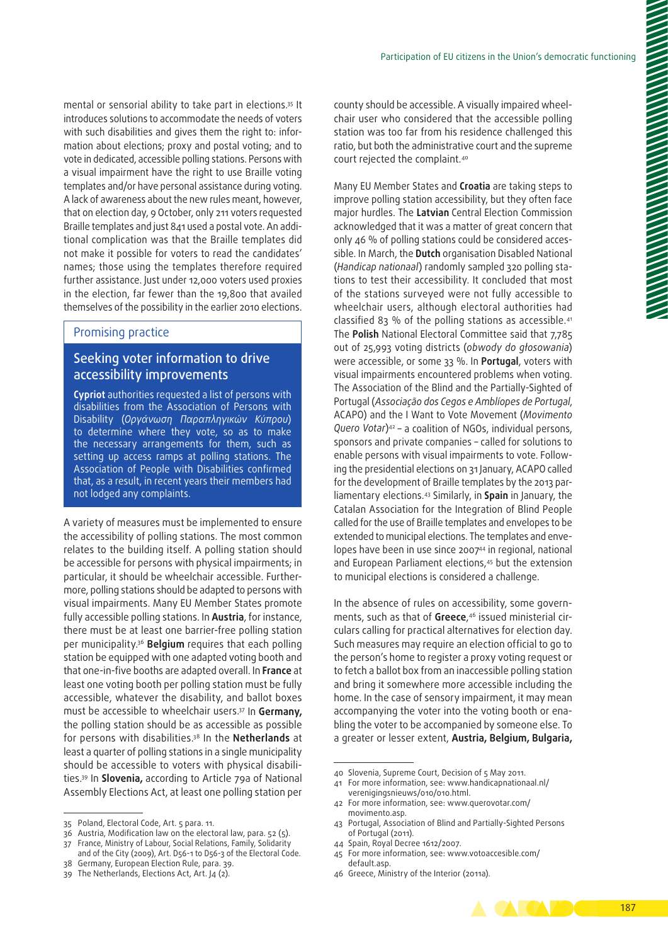mental or sensorial ability to take part in elections.35 It introduces solutions to accommodate the needs of voters with such disabilities and gives them the right to: information about elections; proxy and postal voting; and to vote in dedicated, accessible polling stations. Persons with a visual impairment have the right to use Braille voting templates and/or have personal assistance during voting. A lack of awareness about the new rules meant, however, that on election day, 9 October, only 211 voters requested Braille templates and just 841 used a postal vote. An additional complication was that the Braille templates did not make it possible for voters to read the candidates' names; those using the templates therefore required further assistance. Just under 12,000 voters used proxies in the election, far fewer than the 19,800 that availed themselves of the possibility in the earlier 2010 elections.

#### Promising practice

### Seeking voter information to drive accessibility improvements

**Cypriot** authorities requested a list of persons with disabilities from the Association of Persons with Disability (*Οργάνωση Παραπληγικών Κύπρου*) to determine where they vote, so as to make the necessary arrangements for them, such as setting up access ramps at polling stations. The Association of People with Disabilities confirmed that, as a result, in recent years their members had not lodged any complaints.

A variety of measures must be implemented to ensure the accessibility of polling stations. The most common relates to the building itself. A polling station should be accessible for persons with physical impairments; in particular, it should be wheelchair accessible. Furthermore, polling stations should be adapted to persons with visual impairments. Many EU Member States promote fully accessible polling stations. In **Austria**, for instance, there must be at least one barrier-free polling station per municipality.36 **Belgium** requires that each polling station be equipped with one adapted voting booth and that one‑in‑five booths are adapted overall. In **France** at least one voting booth per polling station must be fully accessible, whatever the disability, and ballot boxes must be accessible to wheelchair users.37 In **Germany,** the polling station should be as accessible as possible for persons with disabilities.38 In the **Netherlands** at least a quarter of polling stations in a single municipality should be accessible to voters with physical disabilities.39 In **Slovenia,** according to Article 79a of National Assembly Elections Act, at least one polling station per county should be accessible. A visually impaired wheelchair user who considered that the accessible polling station was too far from his residence challenged this ratio, but both the administrative court and the supreme court rejected the complaint.40

Many EU Member States and **Croatia** are taking steps to improve polling station accessibility, but they often face major hurdles. The **Latvian** Central Election Commission acknowledged that it was a matter of great concern that only 46 % of polling stations could be considered accessible. In March, the **Dutch** organisation Disabled National (*Handicap nationaal*) randomly sampled 320 polling sta‑ tions to test their accessibility. It concluded that most of the stations surveyed were not fully accessible to wheelchair users, although electoral authorities had classified 83 % of the polling stations as accessible.41 The **Polish** National Electoral Committee said that 7,785 out of 25,993 voting districts (*obwody do głosowania*) were accessible, or some 33 %. In **Portugal**, voters with visual impairments encountered problems when voting. The Association of the Blind and the Partially‑Sighted of Portugal (*Associação dos Cegos e Amblíopes de Portugal*, ACAPO) and the I Want to Vote Movement (*Movimento Quero Votar*)42 – a coalition of NGOs, individual persons, sponsors and private companies – called for solutions to enable persons with visual impairments to vote. Following the presidential elections on 31 January, ACAPO called for the development of Braille templates by the 2013 parliamentary elections.43 Similarly, in **Spain** in January, the Catalan Association for the Integration of Blind People called for the use of Braille templates and envelopes to be extended to municipal elections. The templates and envelopes have been in use since 2007<sup>44</sup> in regional, national and European Parliament elections,<sup>45</sup> but the extension to municipal elections is considered a challenge.

In the absence of rules on accessibility, some governments, such as that of **Greece**, 46 issued ministerial cir‑ culars calling for practical alternatives for election day. Such measures may require an election official to go to the person's home to register a proxy voting request or to fetch a ballot box from an inaccessible polling station and bring it somewhere more accessible including the home. In the case of sensory impairment, it may mean accompanying the voter into the voting booth or enabling the voter to be accompanied by someone else. To a greater or lesser extent, **Austria, Belgium, Bulgaria,** 

46 Greece, Ministry of the Interior (2011a).



<sup>35</sup> Poland, Electoral Code, Art. 5 para. 11.

<sup>36</sup> Austria, Modification law on the electoral law, para. 52 (5).

<sup>37</sup> France, Ministry of Labour, Social Relations, Family, Solidarity and of the City (2009), Art. D56-1 to D56-3 of the Electoral Code.

<sup>38</sup> Germany, European Election Rule, para. 39.

<sup>39</sup> The Netherlands, Elections Act, Art. J4 (2).

<sup>40</sup> Slovenia, Supreme Court, Decision of 5 May 2011.

<sup>41</sup> For more information, see: [www.handicapnationaal.nl/](http://www.handicapnationaal.nl/verenigingsnieuws/010/010.html) [verenigingsnieuws/010/010.html.](http://www.handicapnationaal.nl/verenigingsnieuws/010/010.html)

<sup>42</sup> For more information, see: [www.querovotar.com/](http://www.querovotar.com/movimento.asp) [movimento.asp.](http://www.querovotar.com/movimento.asp)

<sup>43</sup> Portugal, Association of Blind and Partially‑Sighted Persons of Portugal (2011).

<sup>44</sup> Spain, Royal Decree 1612/2007.

<sup>45</sup> For more information, see: [www.votoaccesible.com/](http://www.votoaccesible.com/default.asp) [default.asp.](http://www.votoaccesible.com/default.asp)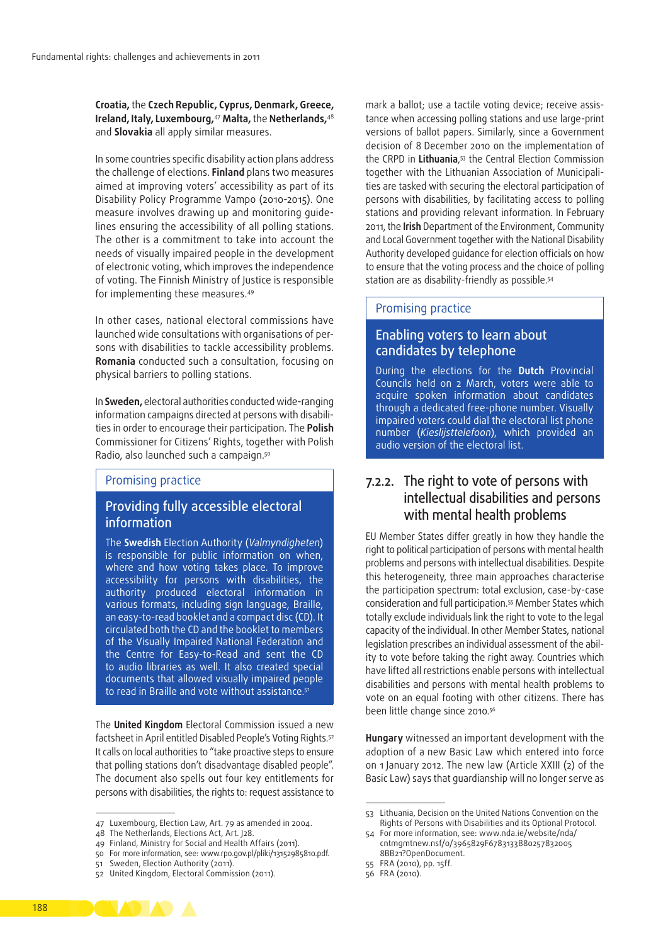**Croatia,** the **Czech Republic, Cyprus, Denmark, Greece, Ireland, Italy, Luxembourg,**<sup>47</sup> **Malta,** the **Netherlands,**<sup>48</sup> and **Slovakia** all apply similar measures.

In some countries specific disability action plans address the challenge of elections. **Finland** plans two measures aimed at improving voters' accessibility as part of its Disability Policy Programme Vampo (2010-2015). One measure involves drawing up and monitoring quidelines ensuring the accessibility of all polling stations. The other is a commitment to take into account the needs of visually impaired people in the development of electronic voting, which improves the independence of voting. The Finnish Ministry of Justice is responsible for implementing these measures.49

In other cases, national electoral commissions have launched wide consultations with organisations of persons with disabilities to tackle accessibility problems. **Romania** conducted such a consultation, focusing on physical barriers to polling stations.

In **Sweden,** electoral authorities conducted wide‑ranging information campaigns directed at persons with disabilities in order to encourage their participation. The **Polish** Commissioner for Citizens' Rights, together with Polish Radio, also launched such a campaign.50

#### Promising practice

### Providing fully accessible electoral information

The **Swedish** Election Authority (*Valmyndigheten*) is responsible for public information on when, where and how voting takes place. To improve accessibility for persons with disabilities, the authority produced electoral information in various formats, including sign language, Braille, an easy‑to‑read booklet and a compact disc (CD). It circulated both the CD and the booklet to members of the Visually Impaired National Federation and the Centre for Easy-to-Read and sent the CD to audio libraries as well. It also created special documents that allowed visually impaired people to read in Braille and vote without assistance.<sup>51</sup>

The **United Kingdom** Electoral Commission issued a new factsheet in April entitled Disabled People's Voting Rights.<sup>52</sup> It calls on local authorities to "take proactive steps to ensure that polling stations don't disadvantage disabled people". The document also spells out four key entitlements for persons with disabilities, the rights to: request assistance to mark a ballot; use a tactile voting device; receive assistance when accessing polling stations and use large‑print versions of ballot papers. Similarly, since a Government decision of 8 December 2010 on the implementation of the CRPD in **Lithuania**, 53 the Central Election Commission together with the Lithuanian Association of Municipalities are tasked with securing the electoral participation of persons with disabilities, by facilitating access to polling stations and providing relevant information. In February 2011, the **Irish** Department of the Environment, Community and Local Government together with the National Disability Authority developed guidance for election officials on how to ensure that the voting process and the choice of polling station are as disability-friendly as possible.<sup>54</sup>

#### Promising practice

### Enabling voters to learn about candidates by telephone

During the elections for the **Dutch** Provincial Councils held on 2 March, voters were able to acquire spoken information about candidates through a dedicated free‑phone number. Visually impaired voters could dial the electoral list phone number (*Kieslijsttelefoon*), which provided an audio version of the electoral list.

### 7.2.2. The right to vote of persons with intellectual disabilities and persons with mental health problems

EU Member States differ greatly in how they handle the right to political participation of persons with mental health problems and persons with intellectual disabilities. Despite this heterogeneity, three main approaches characterise the participation spectrum: total exclusion, case-by-case consideration and full participation.55 Member States which totally exclude individuals link the right to vote to the legal capacity of the individual. In other Member States, national legislation prescribes an individual assessment of the ability to vote before taking the right away. Countries which have lifted all restrictions enable persons with intellectual disabilities and persons with mental health problems to vote on an equal footing with other citizens. There has been little change since 2010.56

**Hungary** witnessed an important development with the adoption of a new Basic Law which entered into force on 1 January 2012. The new law (Article XXIII (2) of the Basic Law) says that guardianship will no longer serve as



<sup>47</sup> Luxembourg, Election Law, Art. 79 as amended in 2004.

<sup>48</sup> The Netherlands, Elections Act, Art. J28.

<sup>49</sup> Finland, Ministry for Social and Health Affairs (2011).

<sup>50</sup> For more information, see: [www.rpo.gov.pl/pliki/13152985810.pdf.](http://www.rpo.gov.pl/pliki/13152985810.pdf)

<sup>51</sup> Sweden, Election Authority (2011).

<sup>52</sup> United Kingdom, Electoral Commission (2011).

<sup>53</sup> Lithuania, Decision on the United Nations Convention on the Rights of Persons with Disabilities and its Optional Protocol.

<sup>54</sup> For more information, see: [www.nda.ie/website/nda/](http://www.nda.ie/website/nda/cntmgmtnew.nsf/0/3965829F6783133B802578320058BB21?OpenDocument) [cntmgmtnew.nsf/0/3965829F6783133B80257832005](http://www.nda.ie/website/nda/cntmgmtnew.nsf/0/3965829F6783133B802578320058BB21?OpenDocument) [8BB21?OpenDocument.](http://www.nda.ie/website/nda/cntmgmtnew.nsf/0/3965829F6783133B802578320058BB21?OpenDocument)

<sup>55</sup> FRA (2010), pp. 15ff.

<sup>56</sup> FRA (2010).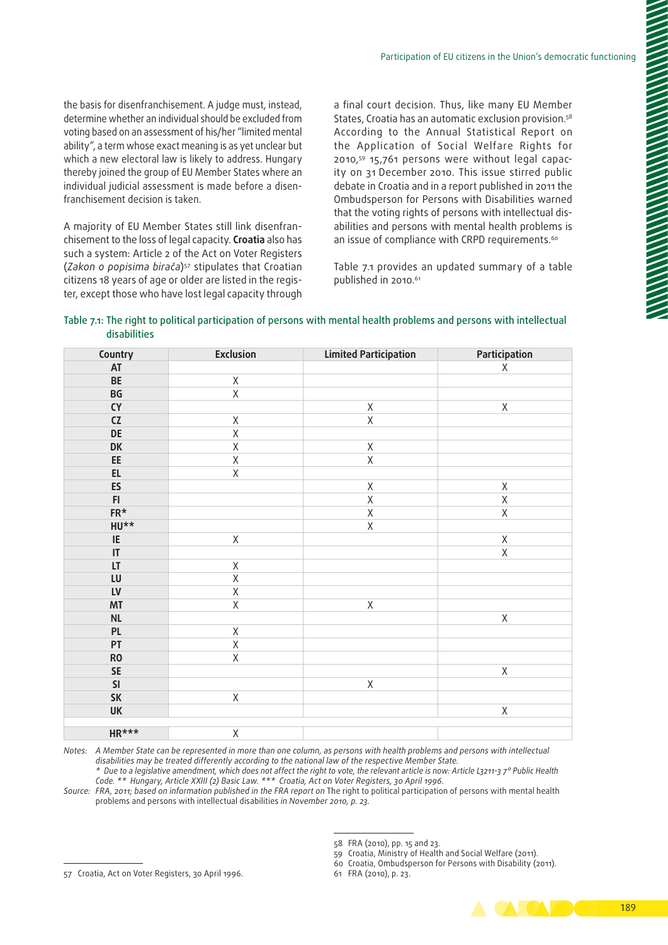the basis for disenfranchisement. A judge must, instead, determine whether an individual should be excluded from voting based on an assessment of his/her "limited mental ability", a term whose exact meaning is as yet unclear but which a new electoral law is likely to address. Hungary thereby joined the group of EU Member States where an individual judicial assessment is made before a disenfranchisement decision is taken.

A majority of EU Member States still link disenfran‑ chisement to the loss of legal capacity. **Croatia** also has such a system: Article 2 of the Act on Voter Registers (*Zakon o popisima birača*)57 stipulates that Croatian citizens 18 years of age or older are listed in the register, except those who have lost legal capacity through

a final court decision. Thus, like many EU Member States, Croatia has an automatic exclusion provision.<sup>58</sup> According to the Annual Statistical Report on the Application of Social Welfare Rights for 2010,<sup>59</sup> 15,761 persons were without legal capacity on 31 December 2010. This issue stirred public debate in Croatia and in a report published in 2011 the Ombudsperson for Persons with Disabilities warned that the voting rights of persons with intellectual disabilities and persons with mental health problems is an issue of compliance with CRPD requirements.<sup>60</sup>

Table 7.1 provides an updated summary of a table published in 2010.<sup>61</sup>

| Table 7.1: The right to political participation of persons with mental health problems and persons with intellectual |  |  |
|----------------------------------------------------------------------------------------------------------------------|--|--|
| <b>disabilities</b>                                                                                                  |  |  |

| Country                | <b>Exclusion</b>        | <b>Limited Participation</b> | Participation           |
|------------------------|-------------------------|------------------------------|-------------------------|
| AT                     |                         |                              | X                       |
| BE                     | $\mathsf X$             |                              |                         |
| BG                     | $\overline{\mathsf{X}}$ |                              |                         |
| ${\sf CY}$             |                         | $\mathsf X$                  | $\mathsf X$             |
| ${\sf CZ}$             | $\mathsf X$             | $\overline{\mathsf{X}}$      |                         |
| <b>DE</b>              | $\overline{\mathsf{X}}$ |                              |                         |
| DK                     | $\overline{\mathsf{X}}$ | $\mathsf X$                  |                         |
| $\mathsf{EE}$          | $\mathsf X$             | $\mathsf X$                  |                         |
| $\mathsf{EL}$          | $\mathsf X$             |                              |                         |
| ES                     |                         | $\mathsf X$                  | $\mathsf X$             |
| F1                     |                         | $\overline{\mathsf{X}}$      | $\overline{\mathsf{X}}$ |
| $FR*$                  |                         | $\overline{\mathsf{X}}$      | $\overline{\mathsf{X}}$ |
| $HU**$                 |                         | $\overline{\mathsf{X}}$      |                         |
| IE                     | $\mathsf X$             |                              | $\mathsf X$             |
| $\mathsf{I}\mathsf{T}$ |                         |                              | $\overline{\mathsf{X}}$ |
| $\mathsf{LT}\xspace$   | $\mathsf X$             |                              |                         |
| ${\sf LU}$             | $\overline{\mathsf{X}}$ |                              |                         |
| ${\sf L}{\sf V}$       | $\overline{\mathsf{X}}$ |                              |                         |
| MT                     | $\overline{\mathsf{X}}$ | $\mathsf X$                  |                         |
| $\sf NL$               |                         |                              | Χ                       |
| PL                     | $\mathsf X$             |                              |                         |
| PT                     | $\mathsf X$             |                              |                         |
| RO                     | $\overline{X}$          |                              |                         |
| ${\sf SE}$             |                         |                              | $\mathsf X$             |
| SI                     |                         | $\sf X$                      |                         |
| SK                     | $\mathsf X$             |                              |                         |
| <b>UK</b>              |                         |                              | $\mathsf X$             |
|                        |                         |                              |                         |
| <b>HR***</b>           | $\mathsf X$             |                              |                         |

*Notes: A Member State can be represented in more than one column, as persons with health problems and persons with intellectual disabilities may be treated differently according to the national law of the respective Member State. \* Due to a legislative amendment, which does not affect the right to vote, the relevant article is now: Article L3211-3 7° Public Health* 

*Code. \*\* Hungary, Article XXIII (2) Basic Law. \*\*\* Croatia, Act on Voter Registers, 30 April 1996.* Source: FRA, 2011; based on information published in the FRA report on The right to political participation of persons with mental health

problems and persons with intellectual disabilities *in November 2010, p. 23.*

58 FRA (2010), pp. 15 and 23.

59 Croatia, Ministry of Health and Social Welfare (2011).

60 Croatia, Ombudsperson for Persons with Disability (2011).

61 FRA (2010), p. 23.



<sup>57</sup> Croatia, Act on Voter Registers, 30 April 1996.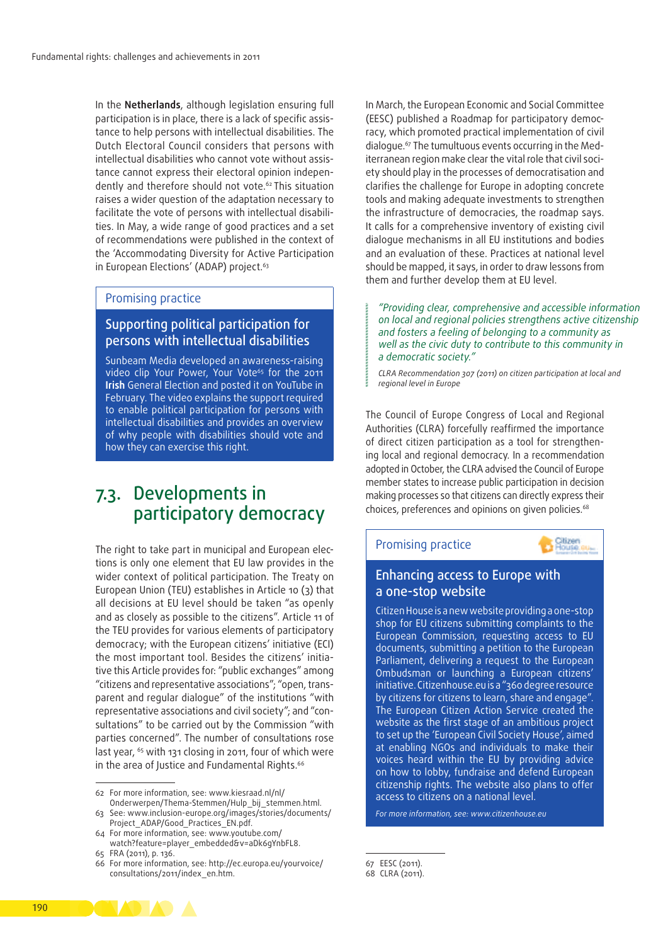In the **Netherlands**, although legislation ensuring full participation is in place, there is a lack of specific assistance to help persons with intellectual disabilities. The Dutch Electoral Council considers that persons with intellectual disabilities who cannot vote without assistance cannot express their electoral opinion independently and therefore should not vote.62 This situation raises a wider question of the adaptation necessary to facilitate the vote of persons with intellectual disabilities. In May, a wide range of good practices and a set of recommendations were published in the context of the 'Accommodating Diversity for Active Participation in European Elections' (ADAP) project.<sup>63</sup>

#### Promising practice

### Supporting political participation for persons with intellectual disabilities

Sunbeam Media developed an awareness-raising video clip Your Power, Your Vote<sup>65</sup> for the 2011 **Irish** General Election and posted it on YouTube in February. The video explains the support required to enable political participation for persons with intellectual disabilities and provides an overview of why people with disabilities should vote and how they can exercise this right.

### 7.3. Developments in participatory democracy

The right to take part in municipal and European elections is only one element that EU law provides in the wider context of political participation. The Treaty on European Union (TEU) establishes in Article 10 (3) that all decisions at EU level should be taken "as openly and as closely as possible to the citizens". Article 11 of the TEU provides for various elements of participatory democracy; with the European citizens' initiative (ECI) the most important tool. Besides the citizens' initiative this Article provides for: "public exchanges" among "citizens and representative associations"; "open, trans‑ parent and regular dialogue" of the institutions "with representative associations and civil society"; and "consultations" to be carried out by the Commission "with parties concerned". The number of consultations rose last year, <sup>65</sup> with 131 closing in 2011, four of which were in the area of Justice and Fundamental Rights.<sup>66</sup>

In March, the European Economic and Social Committee (EESC) published a Roadmap for participatory democ‑ racy, which promoted practical implementation of civil dialogue.<sup>67</sup> The tumultuous events occurring in the Mediterranean region make clear the vital role that civil society should play in the processes of democratisation and clarifies the challenge for Europe in adopting concrete tools and making adequate investments to strengthen the infrastructure of democracies, the roadmap says. It calls for a comprehensive inventory of existing civil dialogue mechanisms in all EU institutions and bodies and an evaluation of these. Practices at national level should be mapped, it says, in order to draw lessons from them and further develop them at EU level.

*"Providing clear, comprehensive and accessible information on local and regional policies strengthens active citizenship and fosters a feeling of belonging to a community as well as the civic duty to contribute to this community in a democratic society."*

*CLRA Recommendation 307 (2011) on citizen participation at local and regional level in Europe*

The Council of Europe Congress of Local and Regional Authorities (CLRA) forcefully reaffirmed the importance of direct citizen participation as a tool for strengthening local and regional democracy. In a recommendation adopted in October, the CLRA advised the Council of Europe member states to increase public participation in decision making processes so that citizens can directly express their choices, preferences and opinions on given policies.<sup>68</sup>



### Enhancing access to Europe with a one‑stop website

Citizen House is a new website providing a one‑stop shop for EU citizens submitting complaints to the European Commission, requesting access to EU documents, submitting a petition to the European Parliament, delivering a request to the European Ombudsman or launching a European citizens' initiative. Citizenhouse.eu is a "360 degree resource by citizens for citizens to learn, share and engage". The European Citizen Action Service created the website as the first stage of an ambitious project to set up the 'European Civil Society House', aimed at enabling NGOs and individuals to make their voices heard within the EU by providing advice on how to lobby, fundraise and defend European citizenship rights. The website also plans to offer access to citizens on a national level.

*For more information, see: [www.citizenhouse.eu](http://www.citizenhouse.eu/)*

67 EESC (2011).

**CONTRACTOR** 



<sup>62</sup> For more information, see: [www.kiesraad.nl/nl/](http://www.kiesraad.nl/nl/Onderwerpen/Thema-Stemmen/Hulp_bij_stemmen.html) [Onderwerpen/Thema‑Stemmen/Hulp\\_bij\\_stemmen.html](http://www.kiesraad.nl/nl/Onderwerpen/Thema-Stemmen/Hulp_bij_stemmen.html).

<sup>63</sup> See: [www.inclusion‑europe.org/images/stories/documents/](http://www.inclusion-europe.org/images/stories/documents/Project_ADAP/Good_Practices_EN.pdf) [Project\\_ADAP/Good\\_Practices\\_EN.pdf](http://www.inclusion-europe.org/images/stories/documents/Project_ADAP/Good_Practices_EN.pdf).

<sup>64</sup> For more information, see: [www.youtube.com/](http://www.youtube.com/watch?feature=player_embedded&v=aDk6gYnbFL8) [watch?feature=player\\_embedded&v=aDk6gYnbFL8](http://www.youtube.com/watch?feature=player_embedded&v=aDk6gYnbFL8).

<sup>65</sup> FRA (2011), p. 136.

<sup>66</sup> For more information, see: [http://ec.europa.eu/yourvoice/](http://ec.europa.eu/yourvoice/consultations/2011/index_en.htm) [consultations/2011/index\\_en.htm.](http://ec.europa.eu/yourvoice/consultations/2011/index_en.htm)

<sup>68</sup> CLRA (2011).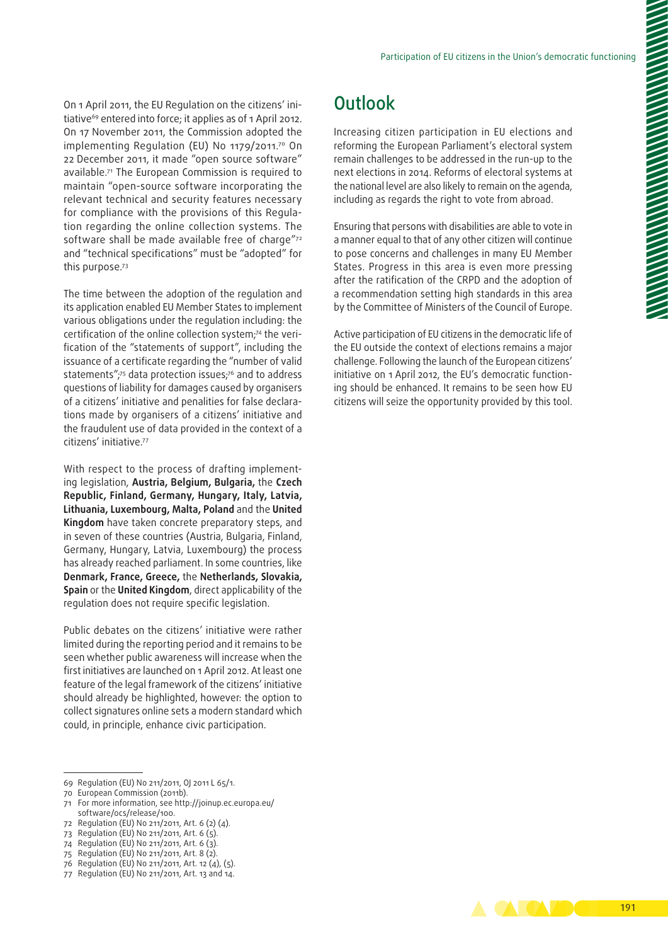On 1 April 2011, the EU Regulation on the citizens' initiative<sup>69</sup> entered into force: it applies as of 1 April 2012. On 17 November 2011, the Commission adopted the implementing Regulation (EU) No 1179/2011.<sup>70</sup> On 22 December 2011, it made "open source software" available.71 The European Commission is required to maintain "open‑source software incorporating the relevant technical and security features necessary for compliance with the provisions of this Regulation regarding the online collection systems. The software shall be made available free of charge"72 and "technical specifications" must be "adopted" for this purpose.73

The time between the adoption of the regulation and its application enabled EU Member States to implement various obligations under the regulation including: the certification of the online collection system;<sup>74</sup> the verification of the "statements of support", including the issuance of a certificate regarding the "number of valid statements";<sup>75</sup> data protection issues;<sup>76</sup> and to address questions of liability for damages caused by organisers of a citizens' initiative and penalities for false declarations made by organisers of a citizens' initiative and the fraudulent use of data provided in the context of a citizens' initiative.77

With respect to the process of drafting implementing legislation, **Austria, Belgium, Bulgaria,** the **Czech Republic, Finland, Germany, Hungary, Italy, Latvia, Lithuania, Luxembourg, Malta, Poland** and the **United Kingdom** have taken concrete preparatory steps, and in seven of these countries (Austria, Bulgaria, Finland, Germany, Hungary, Latvia, Luxembourg) the process has already reached parliament. In some countries, like **Denmark, France, Greece,** the **Netherlands, Slovakia, Spain** or the **United Kingdom**, direct applicability of the regulation does not require specific legislation.

Public debates on the citizens' initiative were rather limited during the reporting period and it remains to be seen whether public awareness will increase when the first initiatives are launched on 1 April 2012. At least one feature of the legal framework of the citizens' initiative should already be highlighted, however: the option to collect signatures online sets a modern standard which could, in principle, enhance civic participation.

- 71 For more information, see [http://joinup.ec.europa.eu/](http://joinup.ec.europa.eu/software/ocs/release/100) [software/ocs/release/100](http://joinup.ec.europa.eu/software/ocs/release/100).
- 72 Regulation (EU) No 211/2011, Art. 6 (2) (4).
- 73 Regulation (EU) No 211/2011, Art. 6 (5).
- 74 Regulation (EU) No 211/2011, Art. 6 (3).
- 75 Regulation (EU) No 211/2011, Art. 8 (2).
- 76 Regulation (EU) No 211/2011, Art. 12 (4), (5).
- 77 Regulation (EU) No 211/2011, Art. 13 and 14.

## **Outlook**

Increasing citizen participation in EU elections and reforming the European Parliament's electoral system remain challenges to be addressed in the run‑up to the next elections in 2014. Reforms of electoral systems at the national level are also likely to remain on the agenda, including as regards the right to vote from abroad.

Ensuring that persons with disabilities are able to vote in a manner equal to that of any other citizen will continue to pose concerns and challenges in many EU Member States. Progress in this area is even more pressing after the ratification of the CRPD and the adoption of a recommendation setting high standards in this area by the Committee of Ministers of the Council of Europe.

Active participation of EU citizens in the democratic life of the EU outside the context of elections remains a major challenge. Following the launch of the European citizens' initiative on 1 April 2012, the EU's democratic functioning should be enhanced. It remains to be seen how EU citizens will seize the opportunity provided by this tool.



<sup>69</sup> Regulation (EU) No 211/2011, OJ 2011 L 65/1.

<sup>70</sup> European Commission (2011b).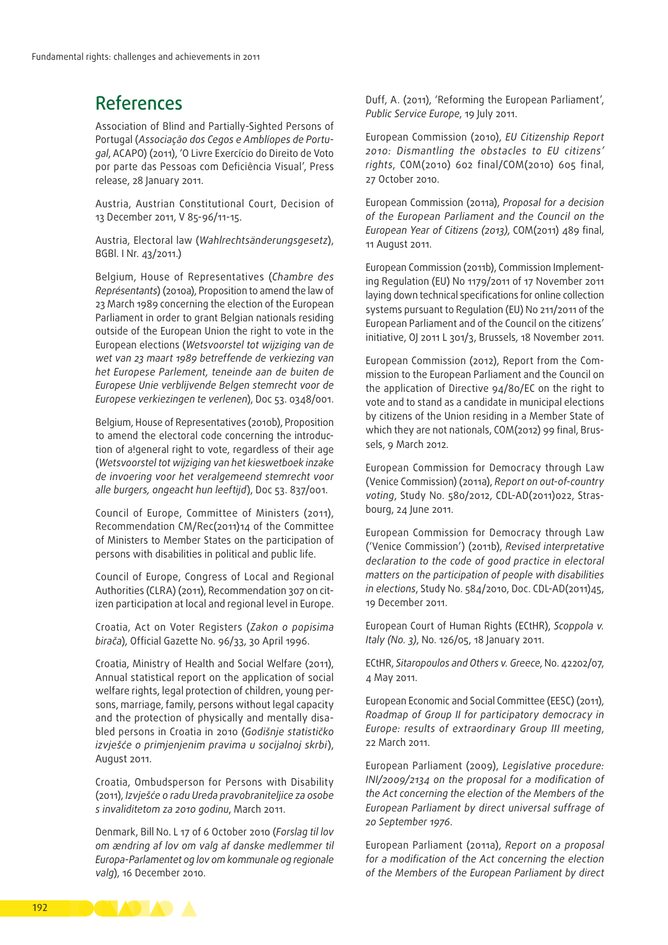### References

Association of Blind and Partially‑Sighted Persons of Portugal (*Associação dos Cegos e Amblíopes de Portu‑ gal*, ACAPO) (2011), 'O Livre Exercício do Direito de Voto por parte das Pessoas com Deficiência Visual', Press release, 28 January 2011.

Austria, Austrian Constitutional Court, Decision of 13 December 2011, V 85-96/11-15.

Austria, Electoral law (*Wahlrechtsänderungsgesetz*), BGBl. I Nr. 43/2011.)

Belgium, House of Representatives (*Chambre des Représentants*) (2010a), Proposition to amend the law of 23 March 1989 concerning the election of the European Parliament in order to grant Belgian nationals residing outside of the European Union the right to vote in the European elections (*Wetsvoorstel tot wijziging van de wet van 23 maart 1989 betreffende de verkiezing van het Europese Parlement, teneinde aan de buiten de Europese Unie verblijvende Belgen stemrecht voor de Europese verkiezingen te verlenen*), Doc 53. 0348/001.

Belgium, House of Representatives (2010b), Proposition to amend the electoral code concerning the introduction of a!general right to vote, regardless of their age (*Wetsvoorstel tot wijziging van het kieswetboek inzake de invoering voor het veralgemeend stemrecht voor alle burgers, ongeacht hun leeftijd*), Doc 53. 837/001.

Council of Europe, Committee of Ministers (2011), Recommendation CM/Rec(2011)14 of the Committee of Ministers to Member States on the participation of persons with disabilities in political and public life.

Council of Europe, Congress of Local and Regional Authorities (CLRA) (2011), [Recommendation](https://wcd.coe.int/ViewDoc.jsp?Ref=REC307(2011)&Language=lanEnglish&Ver=original&Site=Congress&BackColorInternet=e0cee1&BackColorIntranet=e0cee1&BackColorLogged=FFC679) 307 on citizen participation at local and regional level in Europe.

Croatia, Act on Voter Registers (*Zakon o popisima birača*), Official Gazette No. 96/33, 30 April 1996.

Croatia, Ministry of Health and Social Welfare (2011), Annual statistical report on the application of social welfare rights, legal protection of children, young persons, marriage, family, persons without legal capacity and the protection of physically and mentally disabled persons in Croatia in 2010 (*Godišnje statističko izvješće o primjenjenim pravima u socijalnoj skrbi*), August 2011.

Croatia, Ombudsperson for Persons with Disability (2011), *Izvješće o radu Ureda pravobraniteljice za osobe s invaliditetom za 2010 godinu*, March 2011.

Denmark, Bill No. L 17 of 6 October 2010 (*Forslag til lov om ændring af lov om valg af danske medlemmer til Europa‑Parlamentet og lov om kommunale og regionale valg*), 16 December 2010.

Duff, A. (2011), 'Reforming the European Parliament', *Public Service Europe*, 19 July 2011.

European Commission (2010), *EU Citizenship Report 2010: Dismantling the obstacles to EU citizens' rights*, COM(2010) 602 final/COM(2010) 605 final, 27 October 2010.

European Commission (2011a), *Proposal for a decision of the European Parliament and the Council on the European Year of Citizens (2013)*, COM(2011) 489 final, 11 August 2011.

European Commission (2011b), Commission Implementing Regulation (EU) No 1179/2011 of 17 November 2011 laying down technical specifications for online collection systems pursuant to Regulation (EU) No 211/2011 of the European Parliament and of the Council on the citizens' initiative, OJ 2011 L 301/3, Brussels, 18 November 2011.

European Commission (2012), Report from the Commission to the European Parliament and the Council on the application of Directive 94/80/EC on the right to vote and to stand as a candidate in municipal elections by citizens of the Union residing in a Member State of which they are not nationals, COM(2012) 99 final, Brussels, 9 March 2012.

European Commission for Democracy through Law (Venice Commission) (2011a), *Report on out-of-country voting*, Study No. 580/2012, CDL-AD(2011)022, Stras‑ bourg, 24 June 2011.

European Commission for Democracy through Law ('Venice Commission') (2011b), *Revised interpretative declaration to the code of good practice in electoral matters on the participation of people with disabilities in elections*, Study No. 584/2010, Doc. CDL‑AD(2011)45, 19 December 2011.

European Court of Human Rights (ECtHR), *Scoppola v. Italy (No. 3)*, No. 126/05, 18 January 2011.

ECtHR, *Sitaropoulos and Others v. Greece*, No. 42202/07, 4 May 2011.

European Economic and Social Committee (EESC) (2011), *[Roadmap](http://www.eesc.europa.eu/resources/docs/roadmap-final-for-web.pdf) of Group II for participatory democracy in Europe: results of extraordinary Group III meeting*, 22 March 2011.

European Parliament (2009), *Legislative procedure: INI/2009/2134 on the proposal for a modification of the Act concerning the election of the Members of the European Parliament by direct universal suffrage of 20 September 1976*.

European Parliament (2011a), *Report on a proposal for a modification of the Act concerning the election of the Members of the European Parliament by direct* 

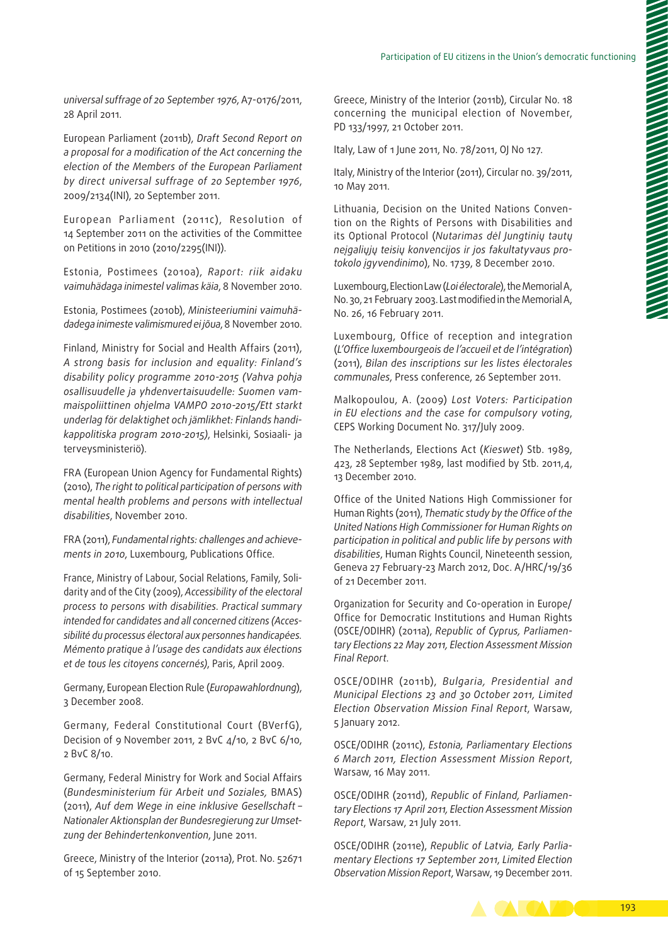*universal suffrage of 20 September 1976*, A7-0176/2011, 28 April 2011.

European Parliament (2011b), *[Draft Second Report](http://www.europarl.europa.eu/sides/getDoc.do?type=COMPARL&mode=XML&language=EN&reference=PE472.030) on a proposal for a modification of the Act concerning the election of the Members of the European Parliament by direct universal suffrage of 20 September 1976*, 2009/2134(INI), 20 September 2011.

European Parliament (2011c), Resolution of 14 September 2011 on the activities of the Committee on Petitions in 2010 (2010/2295(INI)).

Estonia, Postimees (2010a), *Raport: riik aidaku vaimuhädaga inimestel valimas käia*, 8 November 2010.

Estonia, Postimees (2010b), *Ministeeriumini vaimuhä‑ dadega inimeste valimismured ei jõua*, 8 November 2010.

Finland, Ministry for Social and Health Affairs (2011), *A strong basis for inclusion and equality: Finland's disability policy programme 2010-2015 (Vahva pohja osallisuudelle ja yhdenvertaisuudelle: Suomen vam‑ maispoliittinen ohjelma VAMPO 2010-2015/Ett starkt underlag för delaktighet och jämlikhet: Finlands handi‑ kappolitiska program 2010-2015)*, Helsinki, Sosiaali- ja terveysministeriö).

FRA (European Union Agency for Fundamental Rights) (2010), *The right to political participation of persons with mental health problems and persons with intellectual disabilities*, November 2010.

FRA (2011), *Fundamental rights: challenges and achieve‑ ments in 2010*, Luxembourg, Publications Office.

France, Ministry of Labour, Social Relations, Family, Solidarity and of the City (2009), *Accessibility of the electoral process to persons with disabilities. Practical summary intended for candidates and all concerned citizens (Acces‑ sibilité du processus électoral aux personnes handicapées. Mémento pratique à l'usage des candidats aux élections et de tous les citoyens concernés)*, Paris, April 2009.

Germany, European Election Rule (*Europawahlordnung*), 3 December 2008.

Germany, Federal Constitutional Court (BVerfG), Decision of 9 November 2011, 2 BvC 4/10, 2 BvC 6/10, 2 BvC 8/10.

Germany, Federal Ministry for Work and Social Affairs (*Bundesministerium für Arbeit und Soziales,* BMAS) (2011), *[Auf dem Wege in eine inklusive Gesellschaft](http://www.bmas.de/SharedDocs/Downloads/DE/PDF-Publikationen/a740-nationaler-aktionsplan-barrierefrei.pdf?__blob=publicationFile) – [Nationaler Aktionsplan der Bundesregierung zur Umset‑](http://www.bmas.de/SharedDocs/Downloads/DE/PDF-Publikationen/a740-nationaler-aktionsplan-barrierefrei.pdf?__blob=publicationFile) [zung der Behindertenkonvention](http://www.bmas.de/SharedDocs/Downloads/DE/PDF-Publikationen/a740-nationaler-aktionsplan-barrierefrei.pdf?__blob=publicationFile)*, June 2011.

Greece, Ministry of the Interior (2011a), Prot. No. 52671 of 15 September 2010.

Greece, Ministry of the Interior (2011b), Circular No. 18 concerning the municipal election of November, PD 133/1997, 21 October 2011.

Italy, Law of 1 June 2011, No. 78/2011, OJ No 127.

Italy, Ministry of the Interior (2011), Circular no. 39/2011, 10 May 2011.

Lithuania, Decision on the United Nations Convention on the Rights of Persons with Disabilities and its Optional Protocol (*Nutarimas dėl Jungtinių tautų neįgaliųjų teisių konvencijos ir jos fakultatyvaus pro‑ tokolo įgyvendinimo*), No. 1739, 8 December 2010.

Luxembourg, Election Law (*Loi électorale*), the Memorial A, No. 30, 21 February 2003. Last modified in the Memorial A, No. 26, 16 February 2011.

Luxembourg, Office of reception and integration (*L'Office luxembourgeois de l'accueil et de l'intégration*) (2011), *Bilan des inscriptions sur les listes électorales communales*, Press conference, 26 September 2011.

Malkopoulou, A. (2009) *Lost Voters: Participation in EU elections and the case for compulsory voting*, CEPS Working Document No. 317/July 2009.

The Netherlands, Elections Act (*Kieswet*) Stb. 1989, 423, 28 September 1989, last modified by Stb. 2011,4, 13 December 2010.

Office of the United Nations High Commissioner for Human Rights (2011), *Thematic study by the Office of the United Nations High Commissioner for Human Rights on participation in political and public life by persons with disabilities*, Human Rights Council, Nineteenth session, Geneva 27 February-23 March 2012, Doc. A/HRC/19/36 of 21 December 2011.

Organization for Security and Co‑operation in Europe/ Office for Democratic Institutions and Human Rights (OSCE/ODIHR) (2011a), *Republic of Cyprus, Parliamen‑ tary Elections 22 May 2011, Election Assessment Mission Final Report*.

OSCE/ODIHR (2011b), *Bulgaria, Presidential and Municipal Elections 23 and 30 October 2011, Limited Election Observation Mission Final Report*, Warsaw, 5 January 2012.

OSCE/ODIHR (2011c), *Estonia, Parliamentary Elections 6 March 2011, Election Assessment Mission Report*, Warsaw, 16 May 2011.

OSCE/ODIHR (2011d), *Republic of Finland, Parliamen‑ tary Elections 17 April 2011, Election Assessment Mission Report*, Warsaw, 21 July 2011.

OSCE/ODIHR (2011e), *Republic of Latvia, Early Parlia‑ mentary Elections 17 September 2011*, *Limited Election Observation Mission Report*, Warsaw, 19 December 2011.

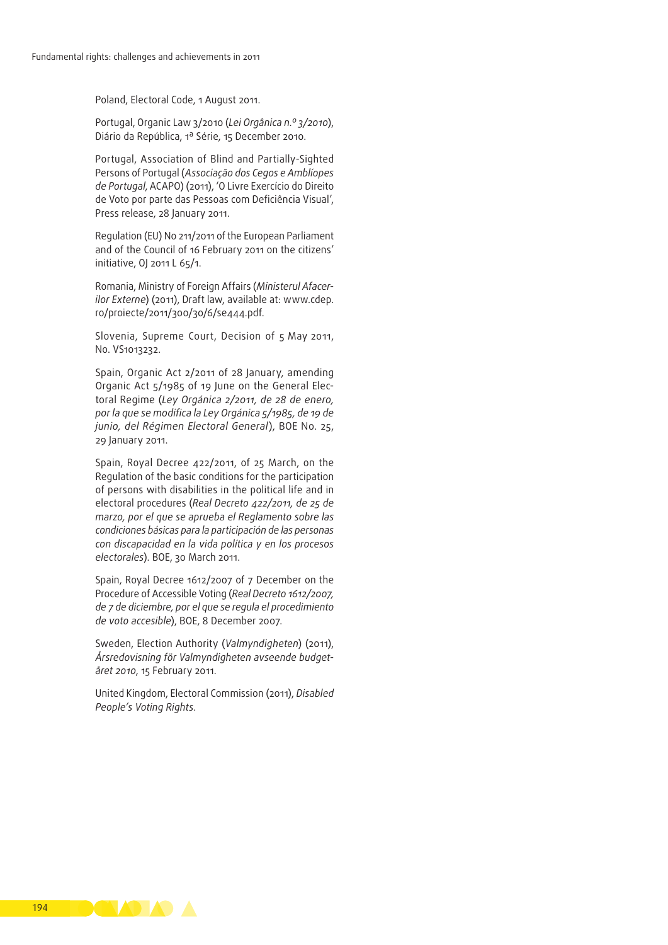Poland, Electoral Code, 1 August 2011.

Portugal, Organic Law 3/2010 (*Lei Orgânica n.º 3/2010*), Diário da República, 1ª Série, 15 December 2010.

Portugal, Association of Blind and Partially-Sighted Persons of Portugal (*Associação dos Cegos e Amblíopes de Portugal*, ACAPO) (2011), 'O Livre Exercício do Direito de Voto por parte das Pessoas com Deficiência Visual', Press release, 28 January 2011.

Regulation (EU) No 211/2011 of the European Parliament and of the Council of 16 February 2011 on the citizens' initiative, OJ 2011 L 65/1.

Romania, Ministry of Foreign Affairs (*Ministerul Afacer‑ ilor Externe*) (2011), Draft law, available at: [www.cdep.](http://www.cdep.ro/proiecte/2011/300/30/6/se444.pdf) [ro/proiecte/2011/300/30/6/se444.pdf](http://www.cdep.ro/proiecte/2011/300/30/6/se444.pdf).

Slovenia, Supreme Court, Decision of 5 May 2011, No. VS1013232.

Spain, Organic Act 2/2011 of 28 January, amending Organic Act 5/1985 of 19 June on the General Electoral Regime (*Ley Orgánica 2/2011, de 28 de enero, por la que se modifica la Ley Orgánica 5/1985, de 19 de junio, del Régimen Electoral General*), BOE No. 25, 29 January 2011.

Spain, Royal Decree 422/2011, of 25 March, on the Regulation of the basic conditions for the participation of persons with disabilities in the political life and in electoral procedures (*Real Decreto 422/2011, de 25 de marzo, por el que se aprueba el Reglamento sobre las condiciones básicas para la participación de las personas con discapacidad en la vida política y en los procesos electorales*). BOE, 30 March 2011.

Spain, Royal Decree 1612/2007 of 7 December on the Procedure of Accessible Voting (*Real Decreto 1612/2007, de 7 de diciembre, por el que se regula el procedimiento de voto accesible*), BOE, 8 December 2007.

Sweden, Election Authority (*Valmyndigheten*) (2011), *Årsredovisning för Valmyndigheten avseende budget‑ året 2010*, 15 February 2011.

United Kingdom, Electoral Commission (2011), *Disabled People's Voting Rights*.